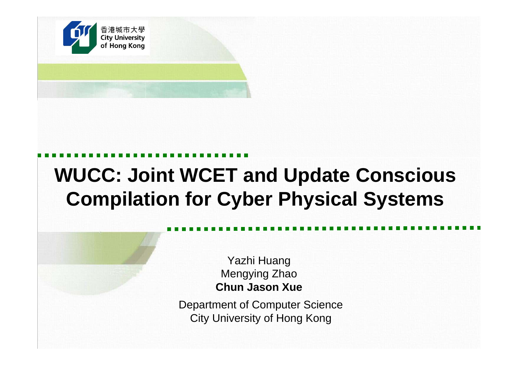

## **WUCC: Joint WCET and Update Conscious Compilation for Cyber Physical Systems**

Yazhi Huang Mengying Zhao **Chun Jason Xue**

化炉 医光囊 计同步数据 医心脏 医血管动脉 可能不断发育 医假性动脉 医心脉切除术 可避开的 医直肠突发 计可归结构 医心理 可能不断发育的 Department of Computer Science City University of Hong Kong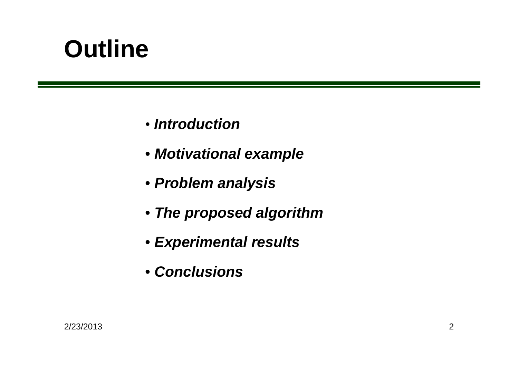## **Outline**

- *Introduction*
- *Motivational example*
- *Problem analysis*
- *The proposed algorithm*
- *Experimental results*
- *Conclusions*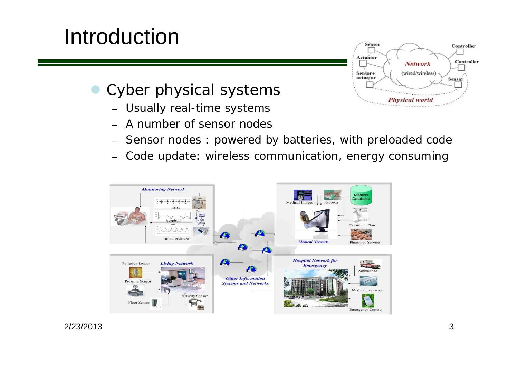## Introduction



- $\bullet$  *Cyber physical systems*
	- Usually real-time systems
	- –A number of sensor nodes
	- –Sensor nodes : powered by batteries, with preloaded code
	- –Code update: wireless communication, energy consuming



2/23/2013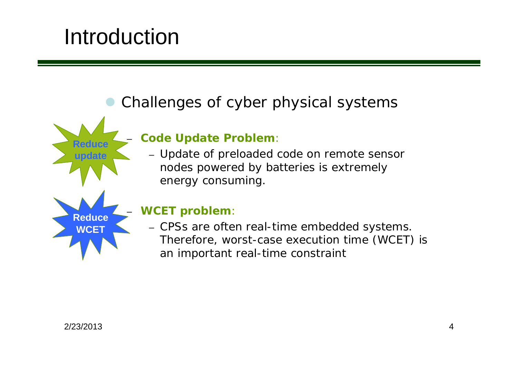## Introduction

–

**Reduce**

**update**

**Reduce**WCF<sup>-</sup>

–

#### $\bullet$ *Challenges of cyber physical systems*

#### **Code Update Problem**:

– Update of preloaded code on remote sensor nodes powered by batteries is extremely energy consuming.

#### **WCET problem**:

– CPSs are often real-time embedded systems. Therefore, worst-case execution time (WCET) is an important real-time constraint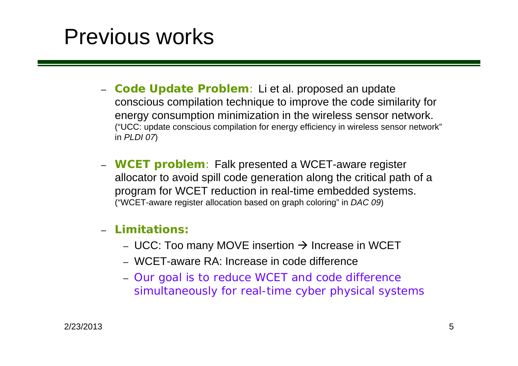## Previous works

- **Code Update Problem**: Li et al. proposed an update conscious compilation technique to improve the code similarity for energy consumption minimization in the wireless sensor network. ("UCC: update conscious compilation for energy efficiency in wireless sensor network" in *PLDI 07*)
- **WCET problem**: Falk presented a WCET-aware register allocator to avoid spill code generation along the critical path of a program for WCET reduction in real-time embedded systems. ("WCET-aware register allocation based on graph coloring" in *DAC 09*)

#### –**Limitations:**

- UCC: Too many MOVE insertion  $\rightarrow$  Increase in WCET
- WCET-aware RA: Increase in code difference
- Our goal is to reduce WCET and code difference simultaneously for real-time cyber physical systems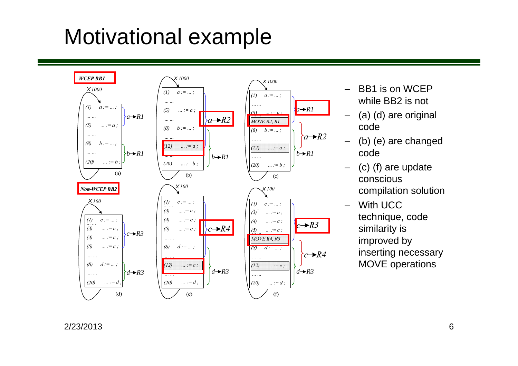## Motivational example



- – BB1 is on WCEP while BB2 is not
- – (a) (d) are original code
- – (b) (e) are changed code
- – (c) (f) are update conscious compilation solution

–

 With UCC technique, code similarity is improved by inserting necessary MOVE operations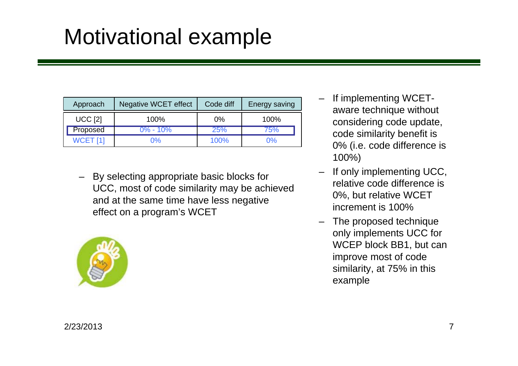## Motivational example

| Approach        | Negative WCET effect | Code diff | Energy saving |
|-----------------|----------------------|-----------|---------------|
| <b>UCC [2]</b>  | 100%                 | $0\%$     | 100%          |
| Proposed        | $0\% - 10\%$         | 25%       | /5%           |
| <b>WCET [1]</b> | በ%                   | 100%      | $0\%$         |

 By selecting appropriate basic blocks for UCC, most of code similarity may be achieved and at the same time have less negative effect on a program's WCET



- – If implementing WCETaware technique without considering code update, code similarity benefit is 0% (i.e. code difference is 100%)
- – If only implementing UCC, relative code difference is 0%, but relative WCET increment is 100%
- – The proposed technique only implements UCC for WCEP block BB1, but can improve most of code similarity, at 75% in this example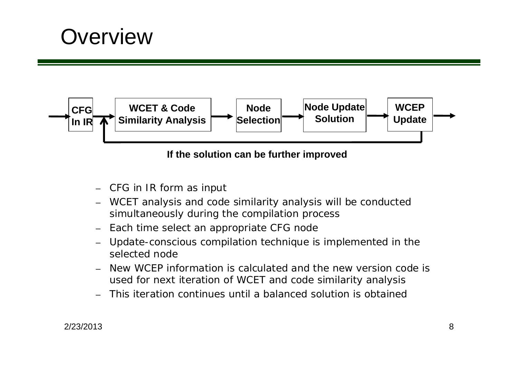## **Overview**



#### **If the solution can be further improved**

- CFG in IR form as input
- WCET analysis and code similarity analysis will be conducted simultaneously during the compilation process
- Each time select an appropriate CFG node
- Update-conscious compilation technique is implemented in the selected node
- New WCEP information is calculated and the new version code is used for next iteration of WCET and code similarity analysis
- This iteration continues until a balanced solution is obtained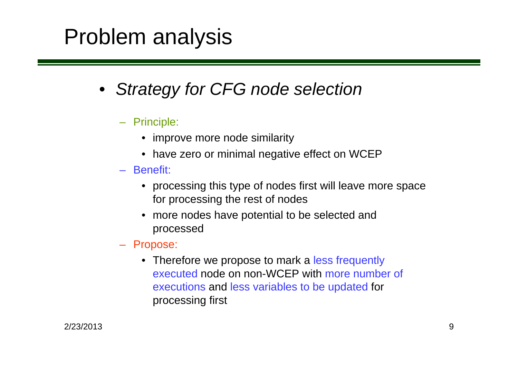## Problem analysis

- *Strategy for CFG node selection*
	- Principle:
		- improve more node similarity
		- have zero or minimal negative effect on WCEP
	- Benefit:
		- processing this type of nodes first will leave more space for processing the rest of nodes
		- more nodes have potential to be selected and processed
	- Propose:
		- Therefore we propose to mark a less frequently executed node on non-WCEP with more number of executions and less variables to be updated for processing first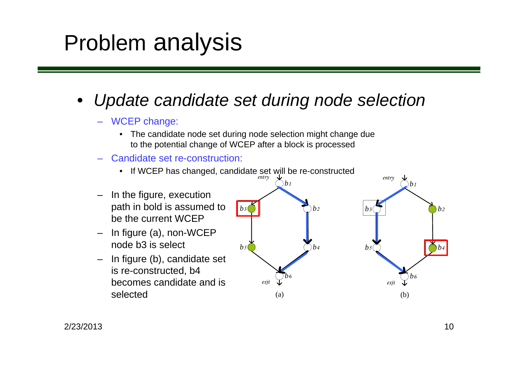## Problem analysis

### • *Update candidate set during node selection*

#### – WCEP change:

- • The candidate node set during node selection might change due to the potential change of WCEP after a block is processed
- Candidate set re-construction:

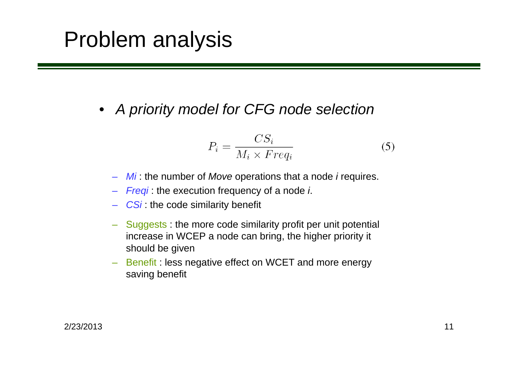## Problem analysis

• *A priority model for CFG node selection*

$$
P_i = \frac{CS_i}{M_i \times Freq_i} \tag{5}
$$

- –*Mi* : the number of *Move* operations that a node *i* requires.
- *Freqi* : the execution frequency of a node *i*.
- **CSi**: the code similarity benefit
- – Suggests : the more code similarity profit per unit potential increase in WCEP a node can bring, the higher priority it should be given
- – Benefit : less negative effect on WCET and more energy saving benefit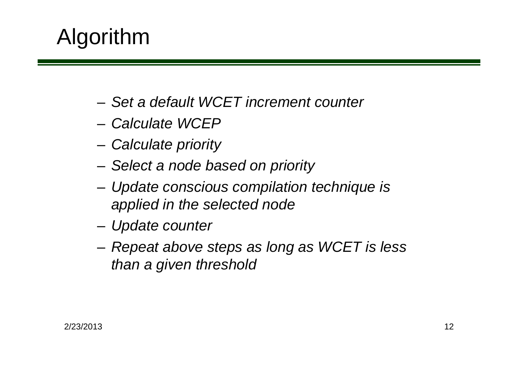## Algorithm

- *Set a default WCET increment counter*
- *Calculate WCEP*
- and the state of the *Calculate priority*
- and the state of the *Select a node based on priority*
- and the state of the *Update conscious compilation technique is applied in the selected node*
- **Links of the Common** *Update counter*
- **Links of the Common**  *Repeat above steps as long as WCET is less than a given threshold*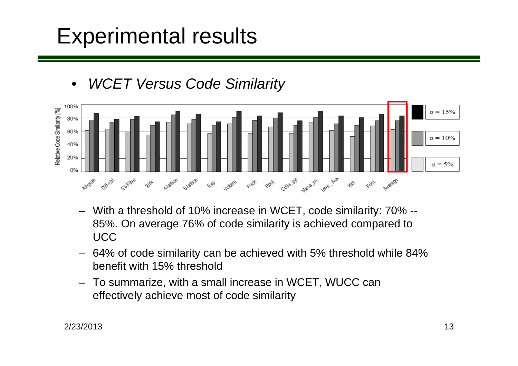## Experimental results





- With a threshold of 10% increase in WCET, code similarity: 70% -- 85%. On average 76% of code similarity is achieved compared to UCC
- 64% of code similarity can be achieved with 5% threshold while 84% benefit with 15% threshold
- To summarize, with a small increase in WCET, WUCC can effectively achieve most of code similarity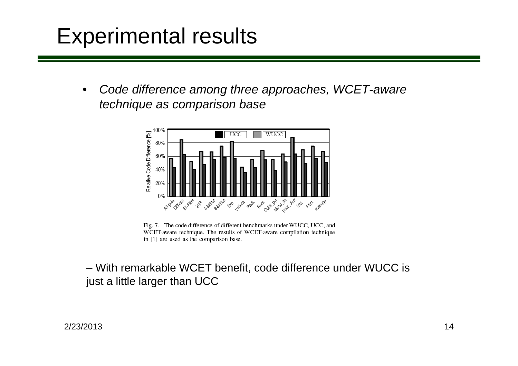## Experimental results

• *Code difference among three approaches, WCET-aware technique as comparison base*



Fig. 7. The code difference of different benchmarks under WUCC, UCC, and WCET-aware technique. The results of WCET-aware compilation technique in [1] are used as the comparison base.

– With remarkable WCET benefit, code difference under WUCC is just a little larger than UCC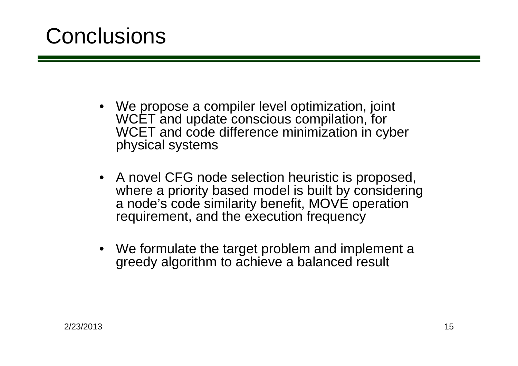## **Conclusions**

- We propose a compiler level optimization, joint WCET and update conscious compilation, for WCET and code difference minimization in cyber physical systems
- A novel CFG node selection heuristic is proposed, where a priority based model is built by considering a node's code similarity benefit, MOVE operation requirement, and the execution frequency
- We formulate the target problem and implement a greedy algorithm to achieve a balanced result